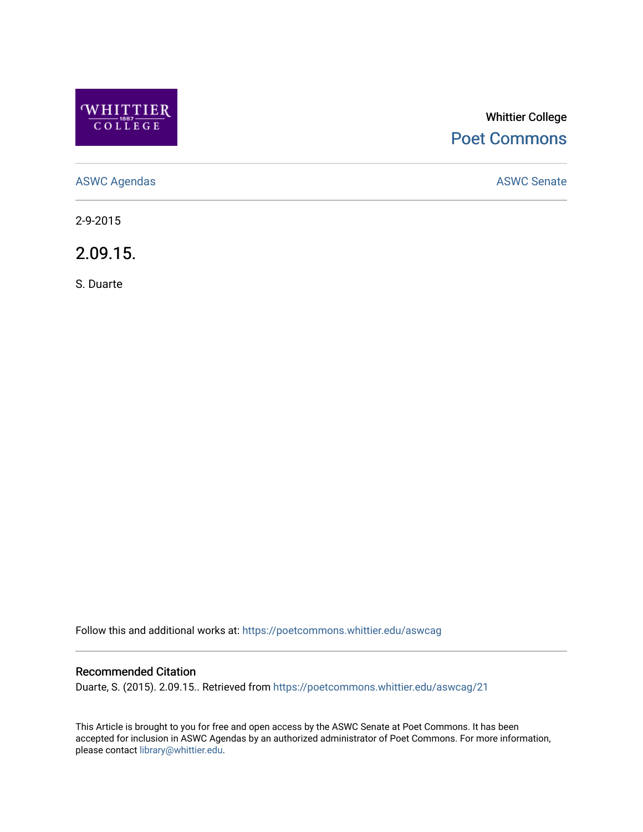

# Whittier College [Poet Commons](https://poetcommons.whittier.edu/)

[ASWC Agendas](https://poetcommons.whittier.edu/aswcag) **ASWC Senate** 

2-9-2015

2.09.15.

S. Duarte

Follow this and additional works at: [https://poetcommons.whittier.edu/aswcag](https://poetcommons.whittier.edu/aswcag?utm_source=poetcommons.whittier.edu%2Faswcag%2F21&utm_medium=PDF&utm_campaign=PDFCoverPages) 

# Recommended Citation

Duarte, S. (2015). 2.09.15.. Retrieved from [https://poetcommons.whittier.edu/aswcag/21](https://poetcommons.whittier.edu/aswcag/21?utm_source=poetcommons.whittier.edu%2Faswcag%2F21&utm_medium=PDF&utm_campaign=PDFCoverPages) 

This Article is brought to you for free and open access by the ASWC Senate at Poet Commons. It has been accepted for inclusion in ASWC Agendas by an authorized administrator of Poet Commons. For more information, please contact [library@whittier.edu](mailto:library@whittier.edu).